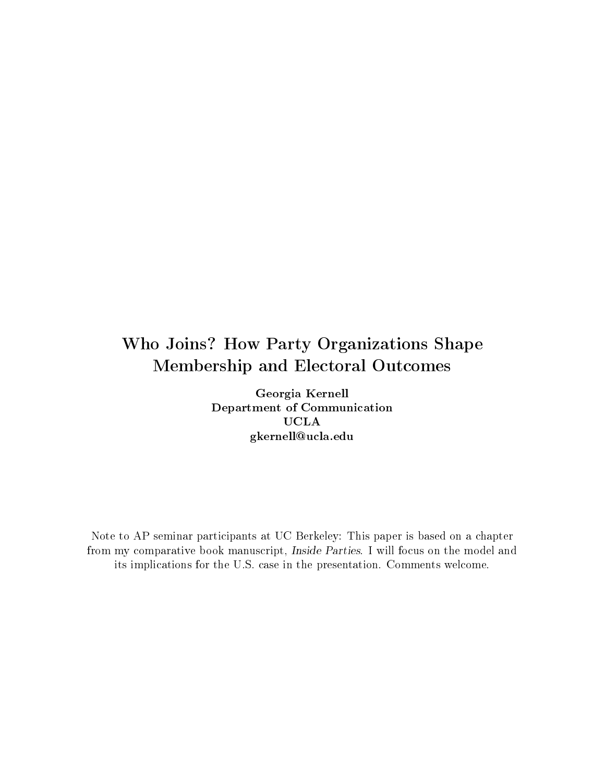# Who Joins? How Party Organizations Shape Membership and Electoral Outcomes

Georgia Kernell Department of Communication UCLA gkernell@ucla.edu

Note to AP seminar participants at UC Berkeley: This paper is based on a chapter from my comparative book manuscript, Inside Parties. I will focus on the model and its implications for the U.S. case in the presentation. Comments welcome.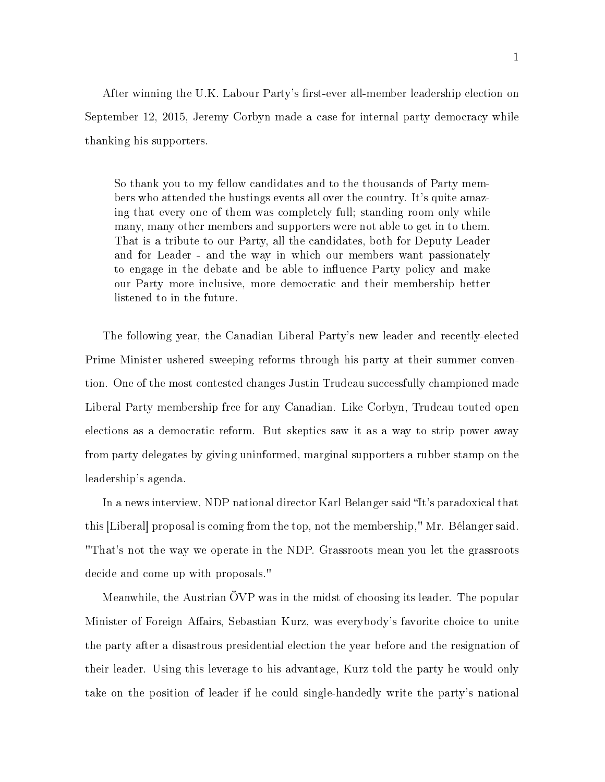After winning the U.K. Labour Party's first-ever all-member leadership election on September 12, 2015, Jeremy Corbyn made a case for internal party democracy while thanking his supporters.

So thank you to my fellow candidates and to the thousands of Party members who attended the hustings events all over the country. It's quite amazing that every one of them was completely full; standing room only while many, many other members and supporters were not able to get in to them. That is a tribute to our Party, all the candidates, both for Deputy Leader and for Leader - and the way in which our members want passionately to engage in the debate and be able to influence Party policy and make our Party more inclusive, more democratic and their membership better listened to in the future.

The following year, the Canadian Liberal Party's new leader and recently-elected Prime Minister ushered sweeping reforms through his party at their summer convention. One of the most contested changes Justin Trudeau successfully championed made Liberal Party membership free for any Canadian. Like Corbyn, Trudeau touted open elections as a democratic reform. But skeptics saw it as a way to strip power away from party delegates by giving uninformed, marginal supporters a rubber stamp on the leadership's agenda.

In a news interview, NDP national director Karl Belanger said "It's paradoxical that this [Liberal] proposal is coming from the top, not the membership," Mr. Bélanger said. "That's not the way we operate in the NDP. Grassroots mean you let the grassroots decide and come up with proposals."

Meanwhile, the Austrian ÖVP was in the midst of choosing its leader. The popular Minister of Foreign Affairs, Sebastian Kurz, was everybody's favorite choice to unite the party after a disastrous presidential election the year before and the resignation of their leader. Using this leverage to his advantage, Kurz told the party he would only take on the position of leader if he could single-handedly write the party's national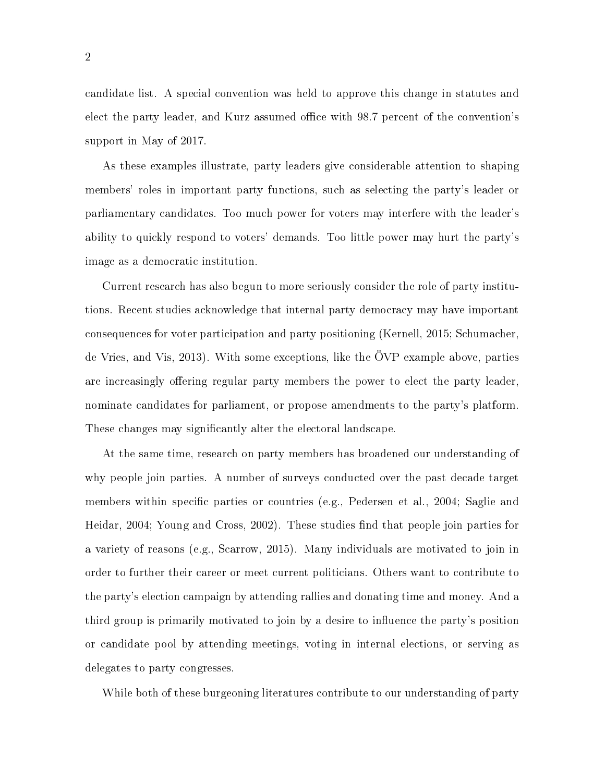candidate list. A special convention was held to approve this change in statutes and elect the party leader, and Kurz assumed office with 98.7 percent of the convention's support in May of 2017.

As these examples illustrate, party leaders give considerable attention to shaping members' roles in important party functions, such as selecting the party's leader or parliamentary candidates. Too much power for voters may interfere with the leader's ability to quickly respond to voters' demands. Too little power may hurt the party's image as a democratic institution.

Current research has also begun to more seriously consider the role of party institutions. Recent studies acknowledge that internal party democracy may have important consequences for voter participation and party positioning (Kernell, 2015; Schumacher, de Vries, and Vis, 2013). With some exceptions, like the ÖVP example above, parties are increasingly offering regular party members the power to elect the party leader. nominate candidates for parliament, or propose amendments to the party's platform. These changes may significantly alter the electoral landscape.

At the same time, research on party members has broadened our understanding of why people join parties. A number of surveys conducted over the past decade target members within specific parties or countries (e.g., Pedersen et al., 2004; Saglie and Heidar, 2004; Young and Cross, 2002). These studies find that people join parties for a variety of reasons (e.g., Scarrow, 2015). Many individuals are motivated to join in order to further their career or meet current politicians. Others want to contribute to the party's election campaign by attending rallies and donating time and money. And a third group is primarily motivated to join by a desire to influence the party's position or candidate pool by attending meetings, voting in internal elections, or serving as delegates to party congresses.

While both of these burgeoning literatures contribute to our understanding of party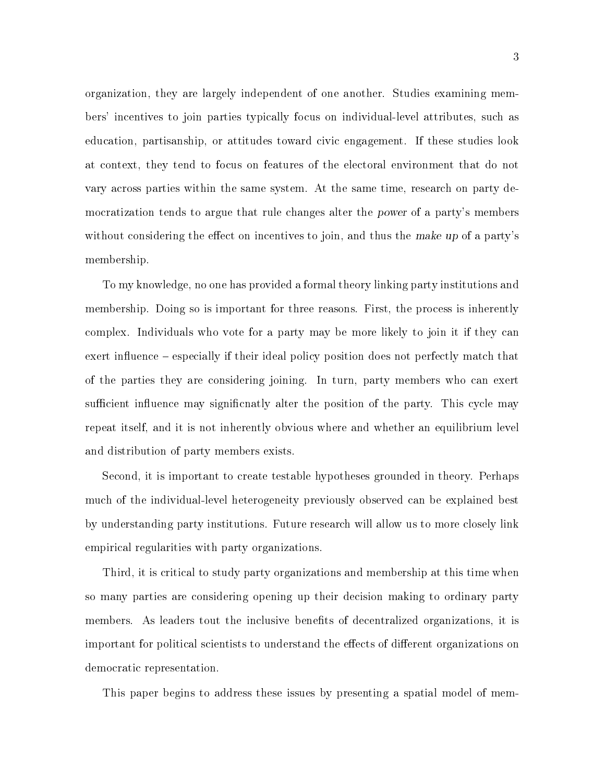organization, they are largely independent of one another. Studies examining members' incentives to join parties typically focus on individual-level attributes, such as education, partisanship, or attitudes toward civic engagement. If these studies look at context, they tend to focus on features of the electoral environment that do not vary across parties within the same system. At the same time, research on party democratization tends to argue that rule changes alter the power of a party's members without considering the effect on incentives to join, and thus the make up of a party's membership.

To my knowledge, no one has provided a formal theory linking party institutions and membership. Doing so is important for three reasons. First, the process is inherently complex. Individuals who vote for a party may be more likely to join it if they can exert influence – especially if their ideal policy position does not perfectly match that of the parties they are considering joining. In turn, party members who can exert sufficient influence may significnatly alter the position of the party. This cycle may repeat itself, and it is not inherently obvious where and whether an equilibrium level and distribution of party members exists.

Second, it is important to create testable hypotheses grounded in theory. Perhaps much of the individual-level heterogeneity previously observed can be explained best by understanding party institutions. Future research will allow us to more closely link empirical regularities with party organizations.

Third, it is critical to study party organizations and membership at this time when so many parties are considering opening up their decision making to ordinary party members. As leaders tout the inclusive benefits of decentralized organizations, it is important for political scientists to understand the effects of different organizations on democratic representation.

This paper begins to address these issues by presenting a spatial model of mem-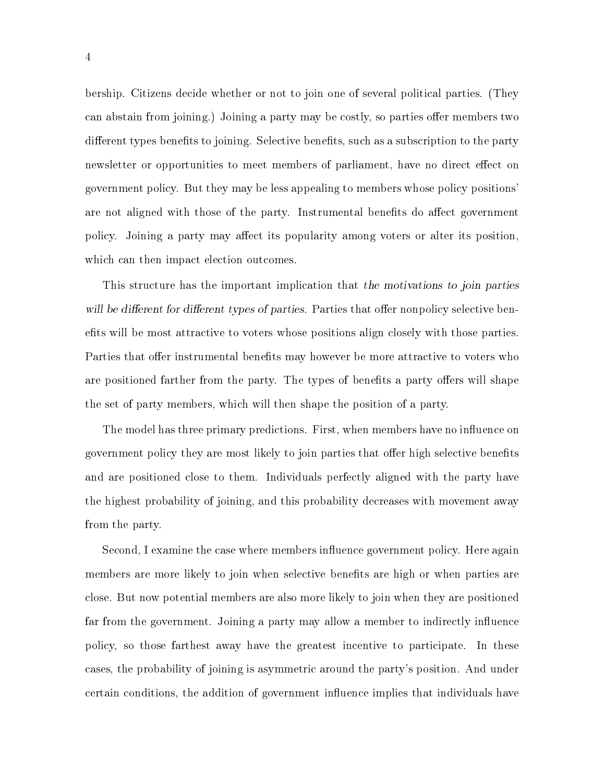bership. Citizens decide whether or not to join one of several political parties. (They can abstain from joining.) Joining a party may be costly, so parties offer members two different types benefits to joining. Selective benefits, such as a subscription to the party newsletter or opportunities to meet members of parliament, have no direct effect on government policy. But they may be less appealing to members whose policy positions' are not aligned with those of the party. Instrumental benefits do affect government policy. Joining a party may affect its popularity among voters or alter its position. which can then impact election outcomes.

This structure has the important implication that the motivations to join parties will be different for different types of parties. Parties that offer nonpolicy selective benefits will be most attractive to voters whose positions align closely with those parties. Parties that offer instrumental benefits may however be more attractive to voters who are positioned farther from the party. The types of benefits a party offers will shape the set of party members, which will then shape the position of a party.

The model has three primary predictions. First, when members have no influence on government policy they are most likely to join parties that offer high selective benefits and are positioned close to them. Individuals perfectly aligned with the party have the highest probability of joining, and this probability decreases with movement away from the party.

Second, I examine the case where members influence government policy. Here again members are more likely to join when selective benefits are high or when parties are close. But now potential members are also more likely to join when they are positioned far from the government. Joining a party may allow a member to indirectly influence policy, so those farthest away have the greatest incentive to participate. In these cases, the probability of joining is asymmetric around the party's position. And under certain conditions, the addition of government influence implies that individuals have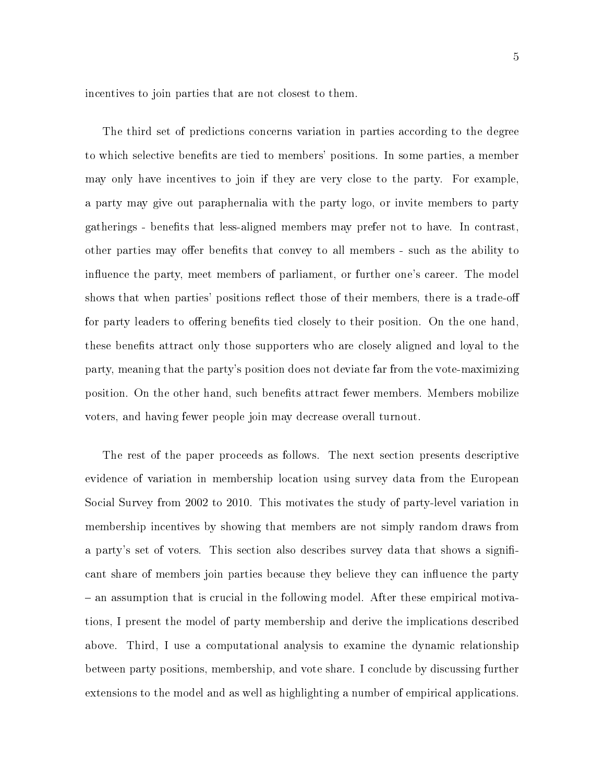incentives to join parties that are not closest to them.

The third set of predictions concerns variation in parties according to the degree to which selective benefits are tied to members' positions. In some parties, a member may only have incentives to join if they are very close to the party. For example, a party may give out paraphernalia with the party logo, or invite members to party gatherings - benets that less-aligned members may prefer not to have. In contrast, other parties may offer benefits that convey to all members - such as the ability to influence the party, meet members of parliament, or further one's career. The model shows that when parties' positions reflect those of their members, there is a trade-off for party leaders to offering benefits tied closely to their position. On the one hand, these benefits attract only those supporters who are closely aligned and loyal to the party, meaning that the party's position does not deviate far from the vote-maximizing position. On the other hand, such benefits attract fewer members. Members mobilize voters, and having fewer people join may decrease overall turnout.

The rest of the paper proceeds as follows. The next section presents descriptive evidence of variation in membership location using survey data from the European Social Survey from 2002 to 2010. This motivates the study of party-level variation in membership incentives by showing that members are not simply random draws from a party's set of voters. This section also describes survey data that shows a significant share of members join parties because they believe they can influence the party an assumption that is crucial in the following model. After these empirical motivations, I present the model of party membership and derive the implications described above. Third, I use a computational analysis to examine the dynamic relationship between party positions, membership, and vote share. I conclude by discussing further extensions to the model and as well as highlighting a number of empirical applications.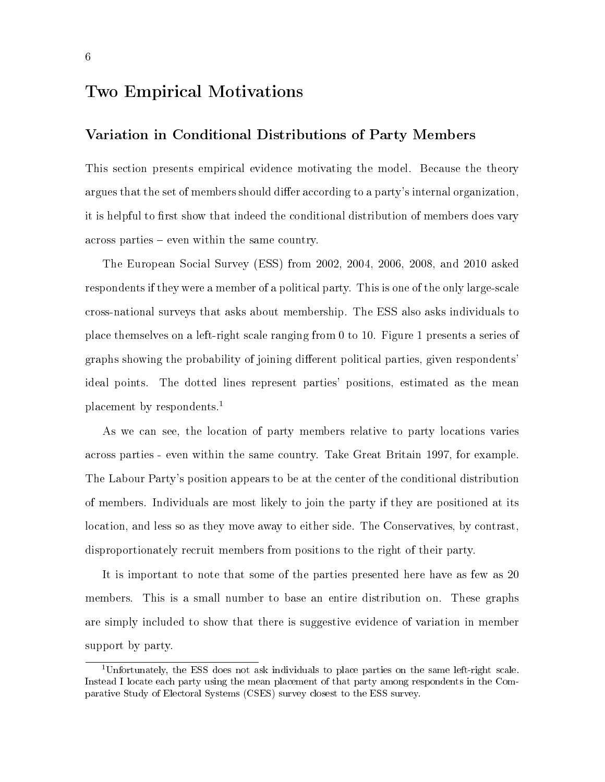### Two Empirical Motivations

#### Variation in Conditional Distributions of Party Members

This section presents empirical evidence motivating the model. Because the theory argues that the set of members should differ according to a party's internal organization. it is helpful to first show that indeed the conditional distribution of members does vary across parties – even within the same country.

The European Social Survey (ESS) from 2002, 2004, 2006, 2008, and 2010 asked respondents if they were a member of a political party. This is one of the only large-scale cross-national surveys that asks about membership. The ESS also asks individuals to place themselves on a left-right scale ranging from 0 to 10. Figure 1 presents a series of graphs showing the probability of joining different political parties, given respondents' ideal points. The dotted lines represent parties' positions, estimated as the mean placement by respondents.<sup>1</sup>

As we can see, the location of party members relative to party locations varies across parties - even within the same country. Take Great Britain 1997, for example. The Labour Party's position appears to be at the center of the conditional distribution of members. Individuals are most likely to join the party if they are positioned at its location, and less so as they move away to either side. The Conservatives, by contrast, disproportionately recruit members from positions to the right of their party.

It is important to note that some of the parties presented here have as few as 20 members. This is a small number to base an entire distribution on. These graphs are simply included to show that there is suggestive evidence of variation in member support by party.

<sup>1</sup>Unfortunately, the ESS does not ask individuals to place parties on the same left-right scale. Instead I locate each party using the mean placement of that party among respondents in the Comparative Study of Electoral Systems (CSES) survey closest to the ESS survey.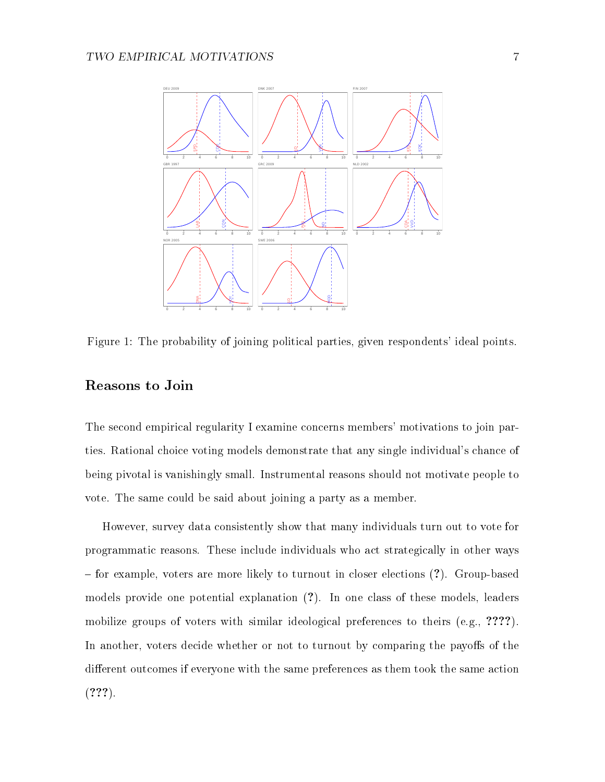

Figure 1: The probability of joining political parties, given respondents' ideal points.

#### Reasons to Join

The second empirical regularity I examine concerns members' motivations to join parties. Rational choice voting models demonstrate that any single individual's chance of being pivotal is vanishingly small. Instrumental reasons should not motivate people to vote. The same could be said about joining a party as a member.

However, survey data consistently show that many individuals turn out to vote for programmatic reasons. These include individuals who act strategically in other ways for example, voters are more likely to turnout in closer elections (?). Group-based models provide one potential explanation (?). In one class of these models, leaders mobilize groups of voters with similar ideological preferences to theirs (e.g., ????). In another, voters decide whether or not to turnout by comparing the payoffs of the different outcomes if everyone with the same preferences as them took the same action  $(???)$ .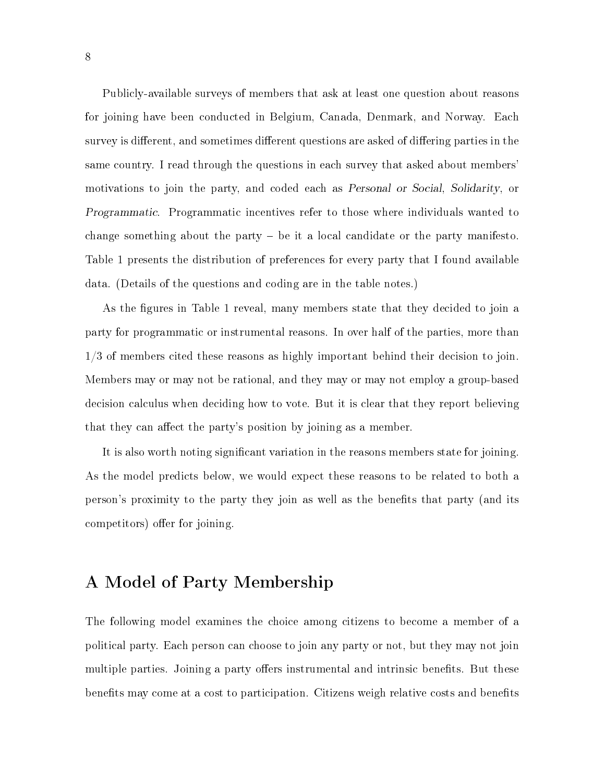Publicly-available surveys of members that ask at least one question about reasons for joining have been conducted in Belgium, Canada, Denmark, and Norway. Each survey is different, and sometimes different questions are asked of differing parties in the same country. I read through the questions in each survey that asked about members' motivations to join the party, and coded each as Personal or Social, Solidarity, or Programmatic. Programmatic incentives refer to those where individuals wanted to change something about the party  $-$  be it a local candidate or the party manifesto. Table 1 presents the distribution of preferences for every party that I found available data. (Details of the questions and coding are in the table notes.)

As the figures in Table 1 reveal, many members state that they decided to join a party for programmatic or instrumental reasons. In over half of the parties, more than 1/3 of members cited these reasons as highly important behind their decision to join. Members may or may not be rational, and they may or may not employ a group-based decision calculus when deciding how to vote. But it is clear that they report believing that they can affect the party's position by joining as a member.

It is also worth noting signicant variation in the reasons members state for joining. As the model predicts below, we would expect these reasons to be related to both a person's proximity to the party they join as well as the benets that party (and its competitors) offer for joining.

### A Model of Party Membership

The following model examines the choice among citizens to become a member of a political party. Each person can choose to join any party or not, but they may not join multiple parties. Joining a party offers instrumental and intrinsic benefits. But these benefits may come at a cost to participation. Citizens weigh relative costs and benefits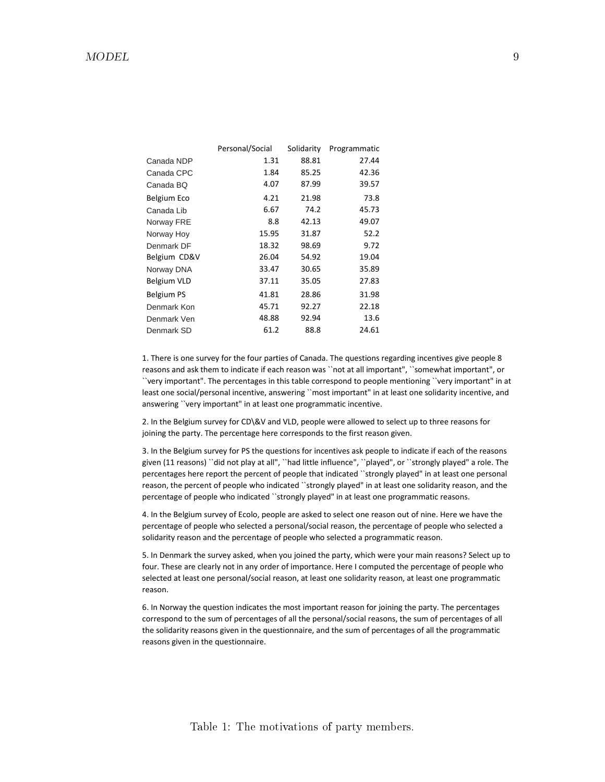|              | Personal/Social | Solidarity | Programmatic |
|--------------|-----------------|------------|--------------|
| Canada NDP   | 1.31            | 88.81      | 27.44        |
| Canada CPC   | 1.84            | 85.25      | 42.36        |
| Canada BQ    | 4.07            | 87.99      | 39.57        |
| Belgium Eco  | 4.21            | 21.98      | 73.8         |
| Canada Lib   | 6.67            | 74.2       | 45.73        |
| Norway FRE   | 8.8             | 42.13      | 49.07        |
| Norway Hoy   | 15.95           | 31.87      | 52.2         |
| Denmark DF   | 18.32           | 98.69      | 9.72         |
| Belgium CD&V | 26.04           | 54.92      | 19.04        |
| Norway DNA   | 33.47           | 30.65      | 35.89        |
| Belgium VLD  | 37.11           | 35.05      | 27.83        |
| Belgium PS   | 41.81           | 28.86      | 31.98        |
| Denmark Kon  | 45.71           | 92.27      | 22.18        |
| Denmark Ven  | 48.88           | 92.94      | 13.6         |
| Denmark SD   | 61.2            | 88.8       | 24.61        |
|              |                 |            |              |

1. There is one survey for the four parties of Canada. The questions regarding incentives give people 8 reasons and ask them to indicate if each reason was ``not at all important", ``somewhat important", or ``very important". The percentages in this table correspond to people mentioning ``very important" in at least one social/personal incentive, answering ``most important" in at least one solidarity incentive, and answering ``very important" in at least one programmatic incentive.

2. In the Belgium survey for CD\&V and VLD, people were allowed to select up to three reasons for joining the party. The percentage here corresponds to the first reason given.

3. In the Belgium survey for PS the questions for incentives ask people to indicate if each of the reasons given (11 reasons) ``did not play at all", ``had little influence", ``played", or ``strongly played" a role. The percentages here report the percent of people that indicated ``strongly played" in at least one personal reason, the percent of people who indicated ``strongly played" in at least one solidarity reason, and the percentage of people who indicated ``strongly played" in at least one programmatic reasons.

4. In the Belgium survey of Ecolo, people are asked to select one reason out of nine. Here we have the percentage of people who selected a personal/social reason, the percentage of people who selected a solidarity reason and the percentage of people who selected a programmatic reason.

5. In Denmark the survey asked, when you joined the party, which were your main reasons? Select up to four. These are clearly not in any order of importance. Here I computed the percentage of people who selected at least one personal/social reason, at least one solidarity reason, at least one programmatic reason.

6. In Norway the question indicates the most important reason for joining the party. The percentages correspond to the sum of percentages of all the personal/social reasons, the sum of percentages of all the solidarity reasons given in the questionnaire, and the sum of percentages of all the programmatic reasons given in the questionnaire.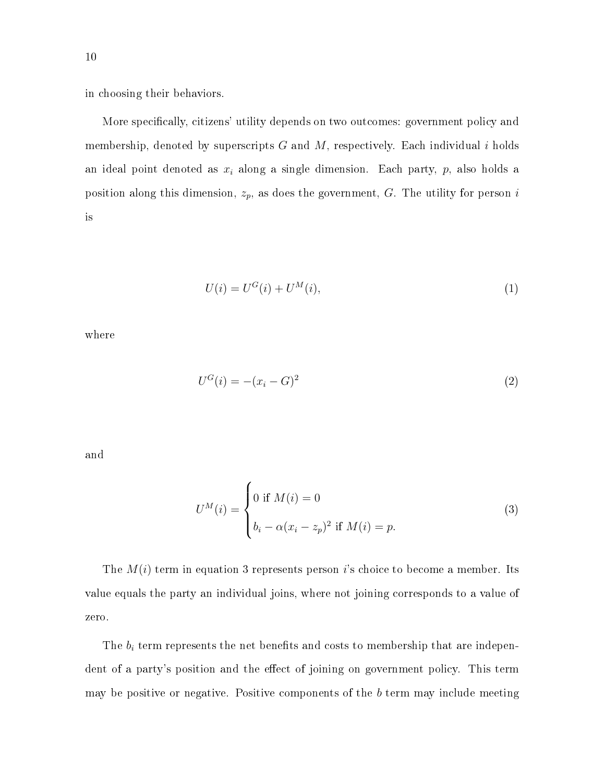in choosing their behaviors.

More specifically, citizens' utility depends on two outcomes: government policy and membership, denoted by superscripts  $G$  and  $M$ , respectively. Each individual i holds an ideal point denoted as  $x_i$  along a single dimension. Each party,  $p$ , also holds a position along this dimension,  $z_p$ , as does the government,  $G$ . The utility for person i is

$$
U(i) = U^{G}(i) + U^{M}(i),
$$
\n(1)

where

$$
U^G(i) = -(x_i - G)^2
$$
\n(2)

and

$$
U^{M}(i) = \begin{cases} 0 \text{ if } M(i) = 0\\ b_{i} - \alpha (x_{i} - z_{p})^{2} \text{ if } M(i) = p. \end{cases}
$$
 (3)

The  $M(i)$  term in equation 3 represents person i's choice to become a member. Its value equals the party an individual joins, where not joining corresponds to a value of zero.

The  $b_i$  term represents the net benefits and costs to membership that are independent of a party's position and the effect of joining on government policy. This term may be positive or negative. Positive components of the  $b$  term may include meeting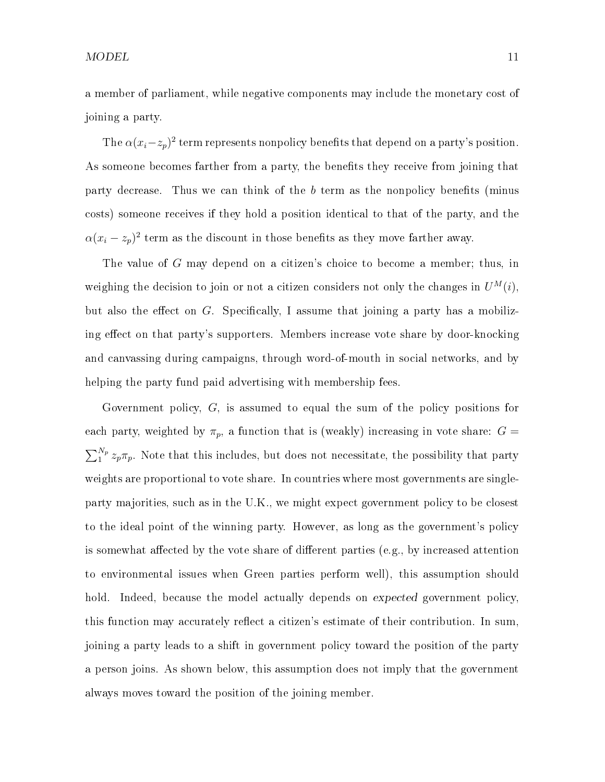a member of parliament, while negative components may include the monetary cost of joining a party.

The  $\alpha(x_i-z_p)^2$  term represents nonpolicy benefits that depend on a party's position. As someone becomes farther from a party, the benefits they receive from joining that party decrease. Thus we can think of the  $b$  term as the nonpolicy benefits (minus costs) someone receives if they hold a position identical to that of the party, and the  $\alpha(x_i - z_p)^2$  term as the discount in those benefits as they move farther away.

The value of G may depend on a citizen's choice to become a member; thus, in weighing the decision to join or not a citizen considers not only the changes in  $U^M(i)$ , but also the effect on  $G$ . Specifically, I assume that joining a party has a mobilizing effect on that party's supporters. Members increase vote share by door-knocking and canvassing during campaigns, through word-of-mouth in social networks, and by helping the party fund paid advertising with membership fees.

Government policy, G, is assumed to equal the sum of the policy positions for each party, weighted by  $\pi_p$ , a function that is (weakly) increasing in vote share:  $G =$  $\sum_{1}^{N_p} z_p \pi_p$ . Note that this includes, but does not necessitate, the possibility that party weights are proportional to vote share. In countries where most governments are singleparty majorities, such as in the U.K., we might expect government policy to be closest to the ideal point of the winning party. However, as long as the government's policy is somewhat affected by the vote share of different parties (e.g., by increased attention to environmental issues when Green parties perform well), this assumption should hold. Indeed, because the model actually depends on expected government policy, this function may accurately reflect a citizen's estimate of their contribution. In sum, joining a party leads to a shift in government policy toward the position of the party a person joins. As shown below, this assumption does not imply that the government always moves toward the position of the joining member.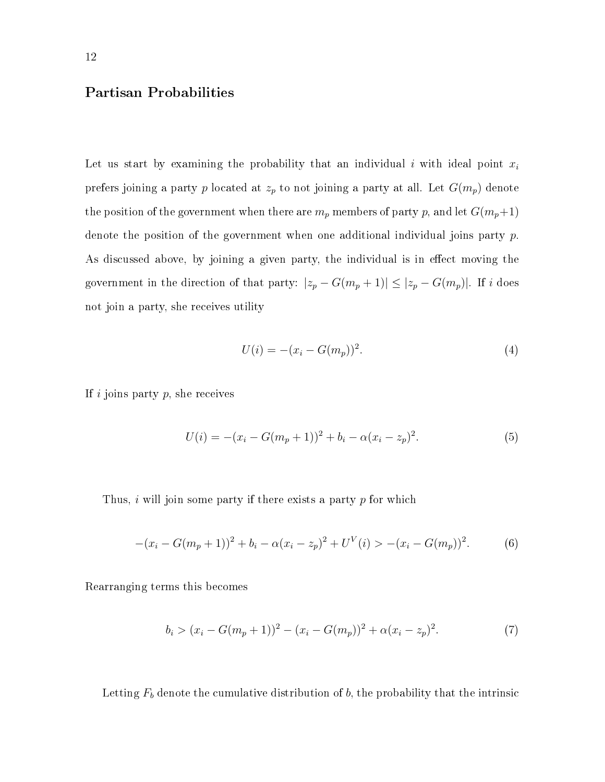#### Partisan Probabilities

Let us start by examining the probability that an individual i with ideal point  $x_i$ prefers joining a party p located at  $z_p$  to not joining a party at all. Let  $G(m_p)$  denote the position of the government when there are  $m_p$  members of party p, and let  $G(m_p+1)$ denote the position of the government when one additional individual joins party p. As discussed above, by joining a given party, the individual is in effect moving the government in the direction of that party:  $|z_p - G(m_p + 1)| \leq |z_p - G(m_p)|$ . If i does not join a party, she receives utility

$$
U(i) = -(x_i - G(m_p))^2.
$$
 (4)

If  $i$  joins party  $p$ , she receives

$$
U(i) = -(x_i - G(m_p + 1))^2 + b_i - \alpha (x_i - z_p)^2.
$$
\n(5)

Thus, i will join some party if there exists a party  $p$  for which

$$
-(x_i - G(m_p + 1))^2 + b_i - \alpha (x_i - z_p)^2 + U^V(i) > -(x_i - G(m_p))^2.
$$
 (6)

Rearranging terms this becomes

$$
b_i > (x_i - G(m_p + 1))^2 - (x_i - G(m_p))^2 + \alpha (x_i - z_p)^2.
$$
 (7)

Letting  $F_b$  denote the cumulative distribution of  $b$ , the probability that the intrinsic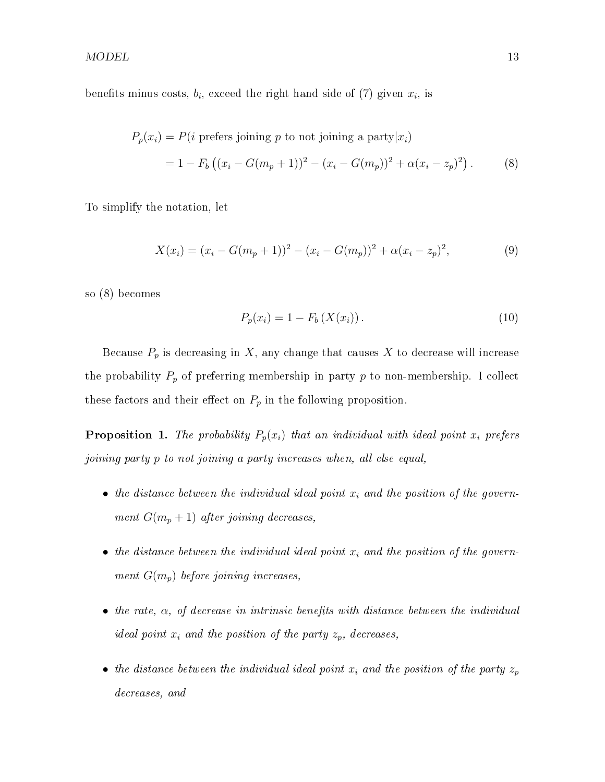benefits minus costs,  $b_i$ , exceed the right hand side of (7) given  $x_i$ , is

$$
P_p(x_i) = P(i \text{ prefers joining } p \text{ to not joining a party}|x_i)
$$
  
= 1 - F<sub>b</sub> ((x<sub>i</sub> - G(m<sub>p</sub> + 1))<sup>2</sup> - (x<sub>i</sub> - G(m<sub>p</sub>))<sup>2</sup> + \alpha(x<sub>i</sub> - z<sub>p</sub>)<sup>2</sup>). (8)

To simplify the notation, let

$$
X(x_i) = (x_i - G(m_p + 1))^2 - (x_i - G(m_p))^2 + \alpha (x_i - z_p)^2,
$$
\n(9)

so (8) becomes

$$
P_p(x_i) = 1 - F_b(X(x_i)).
$$
\n(10)

Because  $P_p$  is decreasing in X, any change that causes X to decrease will increase the probability  $P_p$  of preferring membership in party p to non-membership. I collect these factors and their effect on  $P_p$  in the following proposition.

**Proposition 1.** The probability  $P_p(x_i)$  that an individual with ideal point  $x_i$  prefers joining party p to not joining a party increases when, all else equal,

- the distance between the individual ideal point  $x_i$  and the position of the government  $G(m_p + 1)$  after joining decreases,
- the distance between the individual ideal point  $x_i$  and the position of the government  $G(m_p)$  before joining increases,
- the rate,  $\alpha$ , of decrease in intrinsic benefits with distance between the individual ideal point  $x_i$  and the position of the party  $z_p$ , decreases,
- the distance between the individual ideal point  $x_i$  and the position of the party  $z_p$ decreases, and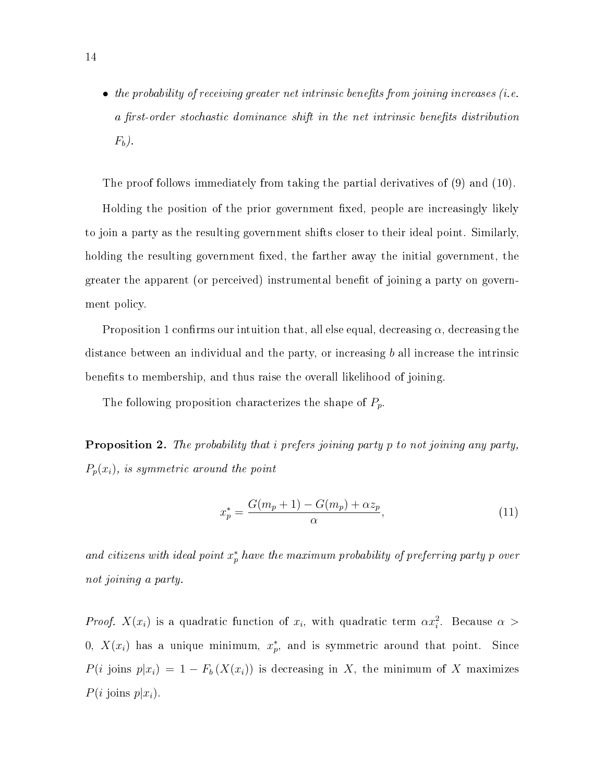• the probability of receiving greater net intrinsic benefits from joining increases (i.e. a first-order stochastic dominance shift in the net intrinsic benefits distribution  $F_b$ ).

The proof follows immediately from taking the partial derivatives of (9) and (10).

Holding the position of the prior government fixed, people are increasingly likely to join a party as the resulting government shifts closer to their ideal point. Similarly, holding the resulting government fixed, the farther away the initial government, the greater the apparent (or perceived) instrumental benet of joining a party on government policy.

Proposition 1 confirms our intuition that, all else equal, decreasing  $\alpha$ , decreasing the distance between an individual and the party, or increasing  $b$  all increase the intrinsic benefits to membership, and thus raise the overall likelihood of joining.

The following proposition characterizes the shape of  $P_p$ .

**Proposition 2.** The probability that i prefers joining party p to not joining any party,  $P_p(x_i)$ , is symmetric around the point

$$
x_p^* = \frac{G(m_p + 1) - G(m_p) + \alpha z_p}{\alpha},\tag{11}
$$

and citizens with ideal point  $x_p^*$  have the maximum probability of preferring party p over not joining a party.

*Proof.*  $X(x_i)$  is a quadratic function of  $x_i$ , with quadratic term  $\alpha x_i^2$ . Because  $\alpha >$ 0,  $X(x_i)$  has a unique minimum,  $x_p^*$ , and is symmetric around that point. Since  $P(i \text{ joins } p|x_i) = 1 - F_b(X(x_i))$  is decreasing in X, the minimum of X maximizes  $P(i \text{ joins } p | x_i).$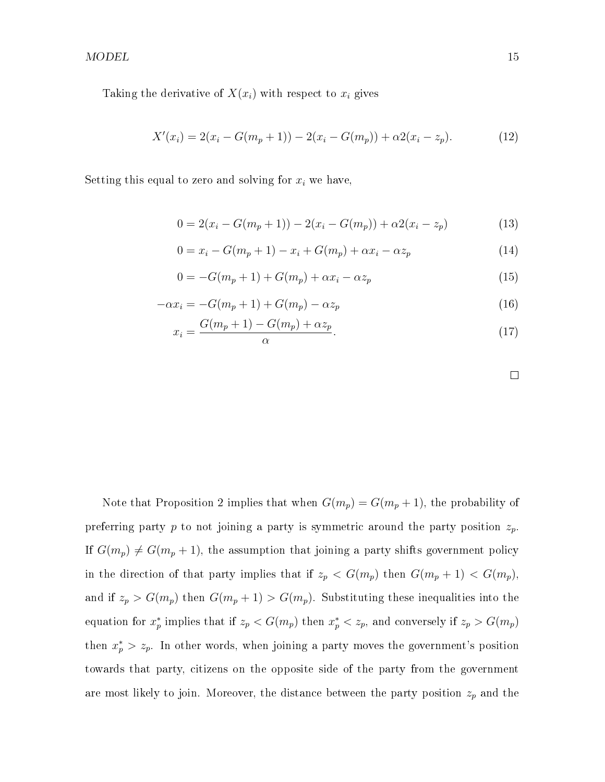$\text{MODEL}$  and  $\text{MODEL}$  and  $\text{MODEL}$  and  $\text{MODEL}$  and  $\text{MODEL}$  and  $\text{MODEL}$  and  $\text{MATEL}$  and  $\text{MATEL}$  and  $\text{MATEL}$  and  $\text{MATEL}$  and  $\text{MATEL}$  and  $\text{MATEL}$  and  $\text{MATEL}$  and  $\text{MATEL}$  and  $\text{MATEL}$  and  $\text{MATEL}$  a

Taking the derivative of  $X(x_i)$  with respect to  $x_i$  gives

$$
X'(x_i) = 2(x_i - G(m_p + 1)) - 2(x_i - G(m_p)) + \alpha 2(x_i - z_p).
$$
 (12)

Setting this equal to zero and solving for  $x_i$  we have,

$$
0 = 2(x_i - G(m_p + 1)) - 2(x_i - G(m_p)) + \alpha 2(x_i - z_p)
$$
\n(13)

$$
0 = x_i - G(m_p + 1) - x_i + G(m_p) + \alpha x_i - \alpha z_p \tag{14}
$$

$$
0 = -G(m_p + 1) + G(m_p) + \alpha x_i - \alpha z_p \tag{15}
$$

$$
-\alpha x_i = -G(m_p + 1) + G(m_p) - \alpha z_p \tag{16}
$$

$$
x_i = \frac{G(m_p + 1) - G(m_p) + \alpha z_p}{\alpha}.
$$
\n(17)

Note that Proposition 2 implies that when  $G(m_p) = G(m_p + 1)$ , the probability of preferring party p to not joining a party is symmetric around the party position  $z_p$ . If  $G(m_p) \neq G(m_p + 1)$ , the assumption that joining a party shifts government policy in the direction of that party implies that if  $z_p < G(m_p)$  then  $G(m_p + 1) < G(m_p)$ , and if  $z_p > G(m_p)$  then  $G(m_p + 1) > G(m_p)$ . Substituting these inequalities into the equation for  $x_p^*$  implies that if  $z_p < G(m_p)$  then  $x_p^* < z_p$ , and conversely if  $z_p > G(m_p)$ then  $x_p^* > z_p$ . In other words, when joining a party moves the government's position towards that party, citizens on the opposite side of the party from the government are most likely to join. Moreover, the distance between the party position  $z_p$  and the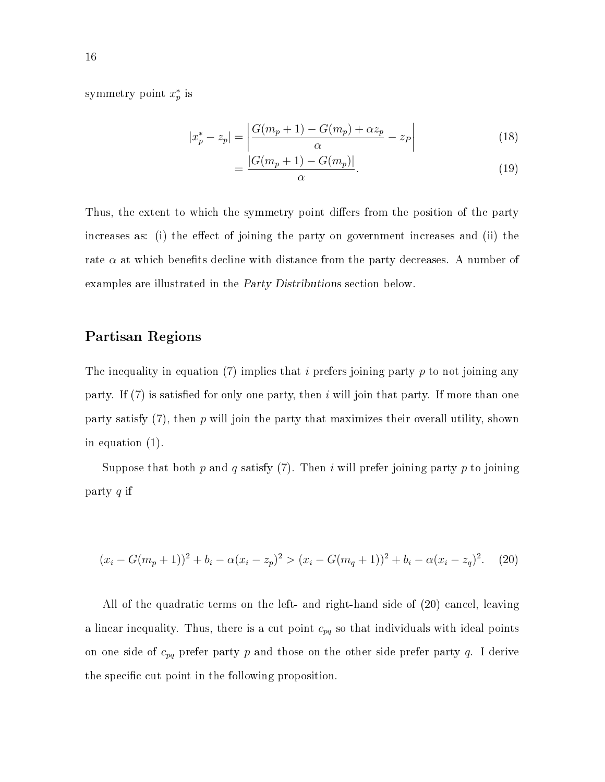symmetry point  $x_p^*$  is

$$
|x_p^* - z_p| = \left| \frac{G(m_p + 1) - G(m_p) + \alpha z_p}{\alpha} - z_p \right| \tag{18}
$$

$$
=\frac{|G(m_p+1)-G(m_p)|}{\alpha}.
$$
\n(19)

Thus, the extent to which the symmetry point differs from the position of the party increases as: (i) the effect of joining the party on government increases and (ii) the rate  $\alpha$  at which benefits decline with distance from the party decreases. A number of examples are illustrated in the Party Distributions section below.

#### Partisan Regions

The inequality in equation (7) implies that i prefers joining party p to not joining any party. If  $(7)$  is satisfied for only one party, then i will join that party. If more than one party satisfy  $(7)$ , then p will join the party that maximizes their overall utility, shown in equation (1).

Suppose that both p and q satisfy (7). Then i will prefer joining party p to joining party q if

$$
(x_i - G(m_p + 1))^2 + b_i - \alpha (x_i - z_p)^2 > (x_i - G(m_q + 1))^2 + b_i - \alpha (x_i - z_q)^2.
$$
 (20)

All of the quadratic terms on the left- and right-hand side of (20) cancel, leaving a linear inequality. Thus, there is a cut point  $c_{pq}$  so that individuals with ideal points on one side of  $c_{pq}$  prefer party p and those on the other side prefer party q. I derive the specific cut point in the following proposition.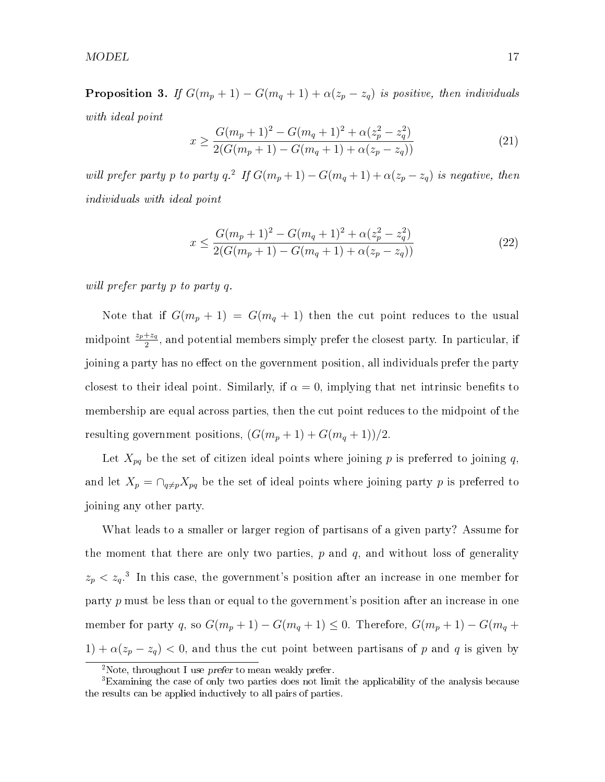**Proposition 3.** If  $G(m_p + 1) - G(m_q + 1) + \alpha(z_p - z_q)$  is positive, then individuals with ideal point

$$
x \ge \frac{G(m_p + 1)^2 - G(m_q + 1)^2 + \alpha(z_p^2 - z_q^2)}{2(G(m_p + 1) - G(m_q + 1) + \alpha(z_p - z_q))}
$$
\n(21)

will prefer party p to party q.<sup>2</sup> If  $G(m_p+1) - G(m_q+1) + \alpha(z_p - z_q)$  is negative, then individuals with ideal point

$$
x \le \frac{G(m_p + 1)^2 - G(m_q + 1)^2 + \alpha(z_p^2 - z_q^2)}{2(G(m_p + 1) - G(m_q + 1) + \alpha(z_p - z_q))}
$$
\n(22)

will prefer party p to party q.

Note that if  $G(m_p + 1) = G(m_q + 1)$  then the cut point reduces to the usual midpoint  $\frac{z_p+z_q}{2}$ , and potential members simply prefer the closest party. In particular, if joining a party has no effect on the government position, all individuals prefer the party closest to their ideal point. Similarly, if  $\alpha = 0$ , implying that net intrinsic benefits to membership are equal across parties, then the cut point reduces to the midpoint of the resulting government positions,  $(G(m_p + 1) + G(m_q + 1))/2$ .

Let  $X_{pq}$  be the set of citizen ideal points where joining p is preferred to joining q, and let  $X_p = \bigcap_{q \neq p} X_{pq}$  be the set of ideal points where joining party p is preferred to joining any other party.

What leads to a smaller or larger region of partisans of a given party? Assume for the moment that there are only two parties,  $p$  and  $q$ , and without loss of generality  $z_p < z_q$ <sup>3</sup>. In this case, the government's position after an increase in one member for party p must be less than or equal to the government's position after an increase in one member for party q, so  $G(m_p + 1) - G(m_q + 1) \leq 0$ . Therefore,  $G(m_p + 1) - G(m_q + 1)$ 1) +  $\alpha(z_p - z_q)$  < 0, and thus the cut point between partisans of p and q is given by

<sup>2</sup>Note, throughout I use prefer to mean weakly prefer.

<sup>3</sup>Examining the case of only two parties does not limit the applicability of the analysis because the results can be applied inductively to all pairs of parties.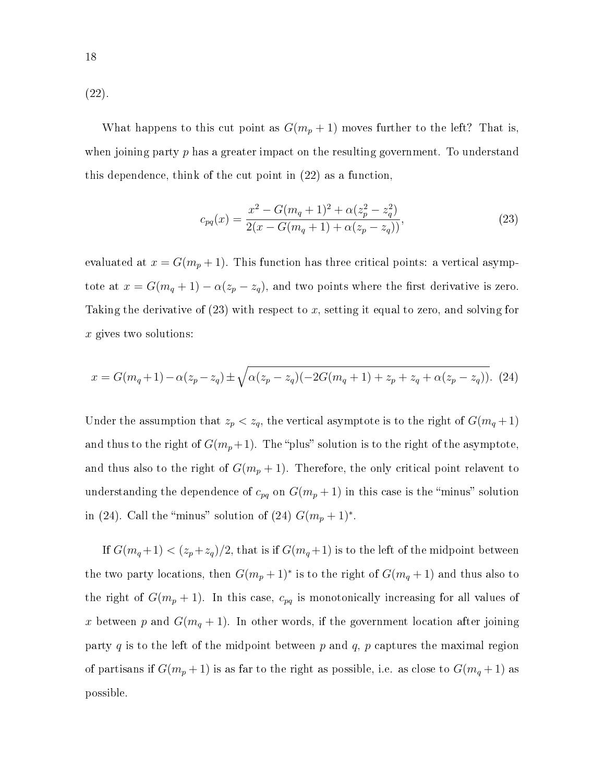(22).

What happens to this cut point as  $G(m_p + 1)$  moves further to the left? That is, when joining party  $p$  has a greater impact on the resulting government. To understand this dependence, think of the cut point in (22) as a function,

$$
c_{pq}(x) = \frac{x^2 - G(m_q + 1)^2 + \alpha(z_p^2 - z_q^2)}{2(x - G(m_q + 1) + \alpha(z_p - z_q))},
$$
\n(23)

evaluated at  $x = G(m_p + 1)$ . This function has three critical points: a vertical asymptote at  $x = G(m_q + 1) - \alpha(z_p - z_q)$ , and two points where the first derivative is zero. Taking the derivative of  $(23)$  with respect to x, setting it equal to zero, and solving for  $x$  gives two solutions:

$$
x = G(m_q + 1) - \alpha(z_p - z_q) \pm \sqrt{\alpha(z_p - z_q)(-2G(m_q + 1) + z_p + z_q + \alpha(z_p - z_q))}.
$$
 (24)

Under the assumption that  $z_p < z_q$ , the vertical asymptote is to the right of  $G(m_q + 1)$ and thus to the right of  $G(m_p+1)$ . The "plus" solution is to the right of the asymptote, and thus also to the right of  $G(m_p + 1)$ . Therefore, the only critical point relavent to understanding the dependence of  $c_{pq}$  on  $G(m_p + 1)$  in this case is the "minus" solution in (24). Call the "minus" solution of (24)  $G(m_p + 1)$ \*.

If  $G(m_q+1) < (z_p+z_q)/2$ , that is if  $G(m_q+1)$  is to the left of the midpoint between the two party locations, then  $G(m_p + 1)^*$  is to the right of  $G(m_q + 1)$  and thus also to the right of  $G(m_p + 1)$ . In this case,  $c_{pq}$  is monotonically increasing for all values of x between p and  $G(m_q + 1)$ . In other words, if the government location after joining party  $q$  is to the left of the midpoint between  $p$  and  $q$ ,  $p$  captures the maximal region of partisans if  $G(m_p+1)$  is as far to the right as possible, i.e. as close to  $G(m_q+1)$  as possible.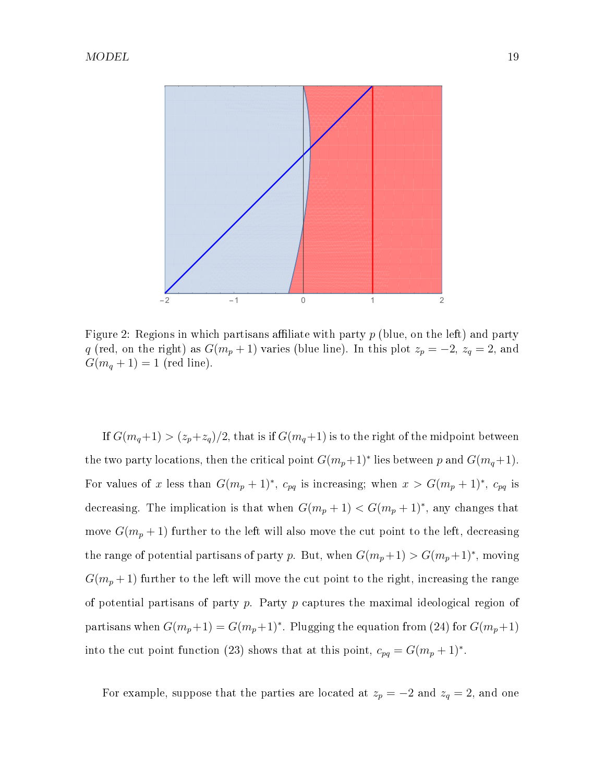

Figure 2: Regions in which partisans affiliate with party  $p$  (blue, on the left) and party q (red, on the right) as  $G(m_p + 1)$  varies (blue line). In this plot  $z_p = -2$ ,  $z_q = 2$ , and  $G(m_q + 1) = 1$  (red line).

If  $G(m_q+1) > (z_p+z_q)/2$ , that is if  $G(m_q+1)$  is to the right of the midpoint between the two party locations, then the critical point  $G(m_p+1)^*$  lies between p and  $G(m_q+1)$ . For values of x less than  $G(m_p + 1)^*$ ,  $c_{pq}$  is increasing; when  $x > G(m_p + 1)^*$ ,  $c_{pq}$  is decreasing. The implication is that when  $G(m_p + 1) < G(m_p + 1)^*$ , any changes that move  $G(m_p+1)$  further to the left will also move the cut point to the left, decreasing the range of potential partisans of party p. But, when  $G(m_p+1) > G(m_p+1)^*$ , moving  $G(m_p+1)$  further to the left will move the cut point to the right, increasing the range of potential partisans of party  $p$ . Party  $p$  captures the maximal ideological region of partisans when  $G(m_p+1) = G(m_p+1)^*$ . Plugging the equation from (24) for  $G(m_p+1)$ into the cut point function (23) shows that at this point,  $c_{pq} = G(m_p + 1)^*$ .

For example, suppose that the parties are located at  $z_p = -2$  and  $z_q = 2$ , and one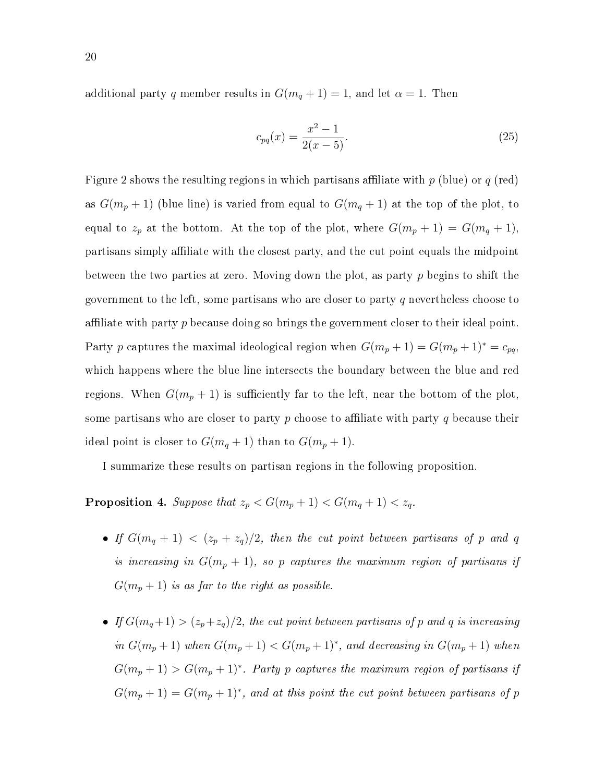additional party q member results in  $G(m_q + 1) = 1$ , and let  $\alpha = 1$ . Then

$$
c_{pq}(x) = \frac{x^2 - 1}{2(x - 5)}.\t(25)
$$

Figure 2 shows the resulting regions in which partisans affiliate with p (blue) or q (red) as  $G(m_p + 1)$  (blue line) is varied from equal to  $G(m_q + 1)$  at the top of the plot, to equal to  $z_p$  at the bottom. At the top of the plot, where  $G(m_p + 1) = G(m_q + 1)$ , partisans simply affiliate with the closest party, and the cut point equals the midpoint between the two parties at zero. Moving down the plot, as party  $p$  begins to shift the government to the left, some partisans who are closer to party q nevertheless choose to affiliate with party p because doing so brings the government closer to their ideal point. Party p captures the maximal ideological region when  $G(m_p + 1) = G(m_p + 1)^* = c_{pq}$ which happens where the blue line intersects the boundary between the blue and red regions. When  $G(m_p + 1)$  is sufficiently far to the left, near the bottom of the plot, some partisans who are closer to party  $p$  choose to affiliate with party  $q$  because their ideal point is closer to  $G(m_q + 1)$  than to  $G(m_p + 1)$ .

I summarize these results on partisan regions in the following proposition.

**Proposition 4.** Suppose that  $z_p < G(m_p + 1) < G(m_q + 1) < z_q$ .

- If  $G(m_q + 1) < (z_p + z_q)/2$ , then the cut point between partisans of p and q is increasing in  $G(m_p + 1)$ , so p captures the maximum region of partisans if  $G(m_p+1)$  is as far to the right as possible.
- If  $G(m_q+1) > (z_p+z_q)/2$ , the cut point between partisans of p and q is increasing in  $G(m_p+1)$  when  $G(m_p+1) < G(m_p+1)^*$ , and decreasing in  $G(m_p+1)$  when  $G(m_p+1) > G(m_p+1)^*$ . Party p captures the maximum region of partisans if  $G(m_p+1) = G(m_p+1)^*$ , and at this point the cut point between partisans of p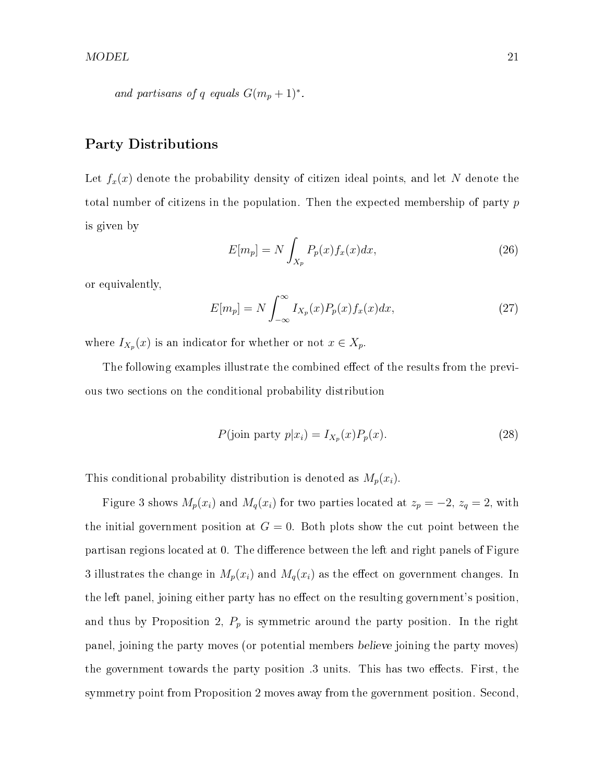and partisans of q equals 
$$
G(m_p + 1)^*
$$
.

#### Party Distributions

Let  $f_x(x)$  denote the probability density of citizen ideal points, and let N denote the total number of citizens in the population. Then the expected membership of party p is given by

$$
E[m_p] = N \int_{X_p} P_p(x) f_x(x) dx,
$$
\n(26)

or equivalently,

$$
E[m_p] = N \int_{-\infty}^{\infty} I_{X_p}(x) P_p(x) f_x(x) dx,
$$
\n(27)

where  $I_{X_p}(x)$  is an indicator for whether or not  $x \in X_p$ .

The following examples illustrate the combined effect of the results from the previous two sections on the conditional probability distribution

$$
P(\text{join party } p|x_i) = I_{X_p}(x)P_p(x). \tag{28}
$$

This conditional probability distribution is denoted as  $M_p(x_i)$ .

Figure 3 shows  $M_p(x_i)$  and  $M_q(x_i)$  for two parties located at  $z_p = -2$ ,  $z_q = 2$ , with the initial government position at  $G = 0$ . Both plots show the cut point between the partisan regions located at 0. The difference between the left and right panels of Figure 3 illustrates the change in  $M_p(x_i)$  and  $M_q(x_i)$  as the effect on government changes. In the left panel, joining either party has no effect on the resulting government's position. and thus by Proposition 2,  $P_p$  is symmetric around the party position. In the right panel, joining the party moves (or potential members believe joining the party moves) the government towards the party position .3 units. This has two effects. First, the symmetry point from Proposition 2 moves away from the government position. Second,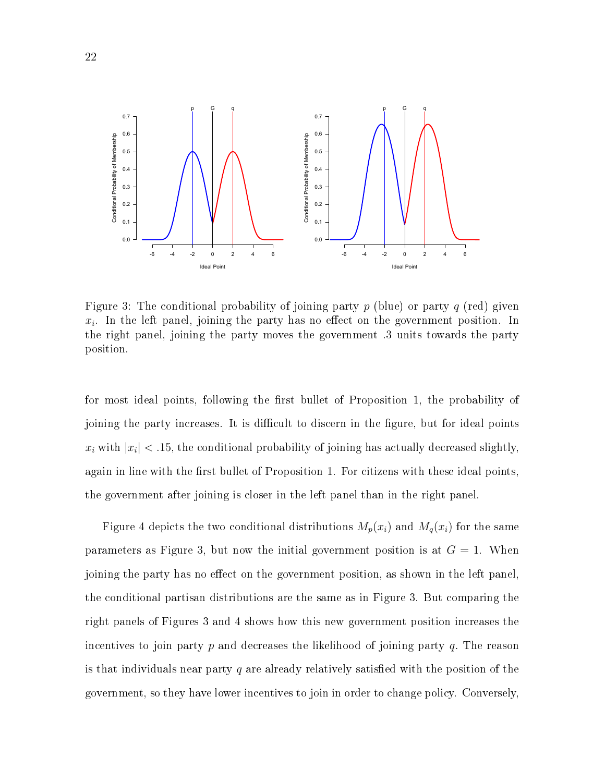

Figure 3: The conditional probability of joining party p (blue) or party q (red) given  $x_i$ . In the left panel, joining the party has no effect on the government position. In the right panel, joining the party moves the government .3 units towards the party position.

for most ideal points, following the first bullet of Proposition 1, the probability of joining the party increases. It is difficult to discern in the figure, but for ideal points  $x_i$  with  $|x_i| < 0.15$ , the conditional probability of joining has actually decreased slightly, again in line with the first bullet of Proposition 1. For citizens with these ideal points. the government after joining is closer in the left panel than in the right panel.

Figure 4 depicts the two conditional distributions  $M_p(x_i)$  and  $M_q(x_i)$  for the same parameters as Figure 3, but now the initial government position is at  $G = 1$ . When joining the party has no effect on the government position, as shown in the left panel. the conditional partisan distributions are the same as in Figure 3. But comparing the right panels of Figures 3 and 4 shows how this new government position increases the incentives to join party  $p$  and decreases the likelihood of joining party  $q$ . The reason is that individuals near party q are already relatively satisfied with the position of the government, so they have lower incentives to join in order to change policy. Conversely,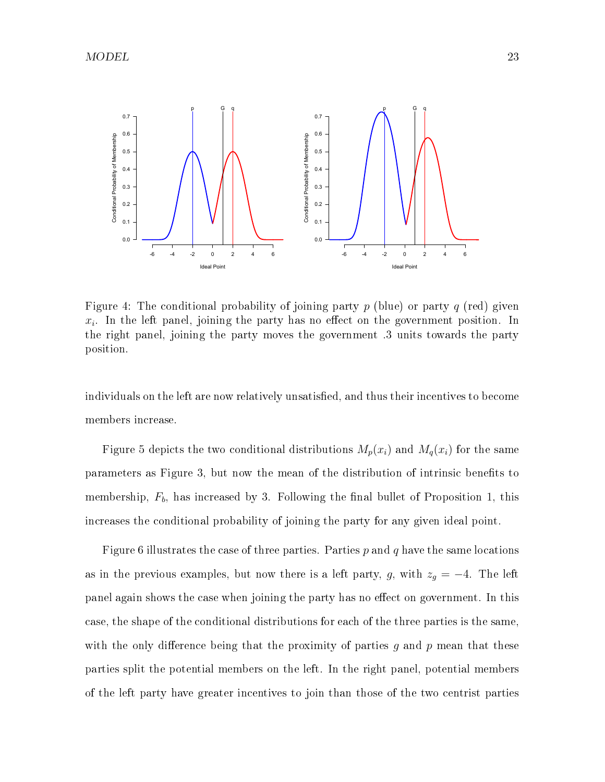

Figure 4: The conditional probability of joining party p (blue) or party q (red) given  $x_i$ . In the left panel, joining the party has no effect on the government position. In the right panel, joining the party moves the government .3 units towards the party position.

individuals on the left are now relatively unsatisfied, and thus their incentives to become members increase.

Figure 5 depicts the two conditional distributions  $M_p(x_i)$  and  $M_q(x_i)$  for the same parameters as Figure 3, but now the mean of the distribution of intrinsic benets to membership,  $F_b$ , has increased by 3. Following the final bullet of Proposition 1, this increases the conditional probability of joining the party for any given ideal point.

Figure 6 illustrates the case of three parties. Parties p and q have the same locations as in the previous examples, but now there is a left party, g, with  $z_g = -4$ . The left panel again shows the case when joining the party has no effect on government. In this case, the shape of the conditional distributions for each of the three parties is the same, with the only difference being that the proximity of parties g and p mean that these parties split the potential members on the left. In the right panel, potential members of the left party have greater incentives to join than those of the two centrist parties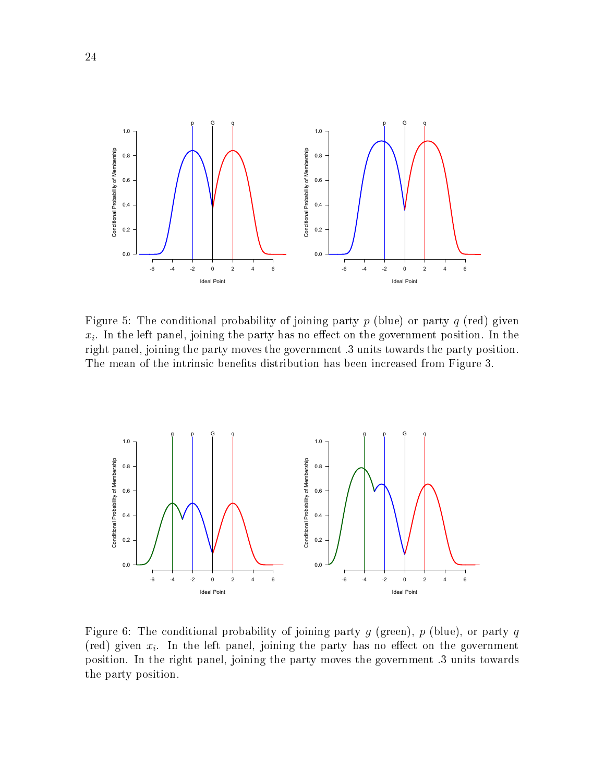

Figure 5: The conditional probability of joining party  $p$  (blue) or party  $q$  (red) given  $x_i$ . In the left panel, joining the party has no effect on the government position. In the right panel, joining the party moves the government .3 units towards the party position. The mean of the intrinsic benefits distribution has been increased from Figure 3.



Figure 6: The conditional probability of joining party g (green), p (blue), or party q (red) given  $x_i$ . In the left panel, joining the party has no effect on the government position. In the right panel, joining the party moves the government .3 units towards the party position.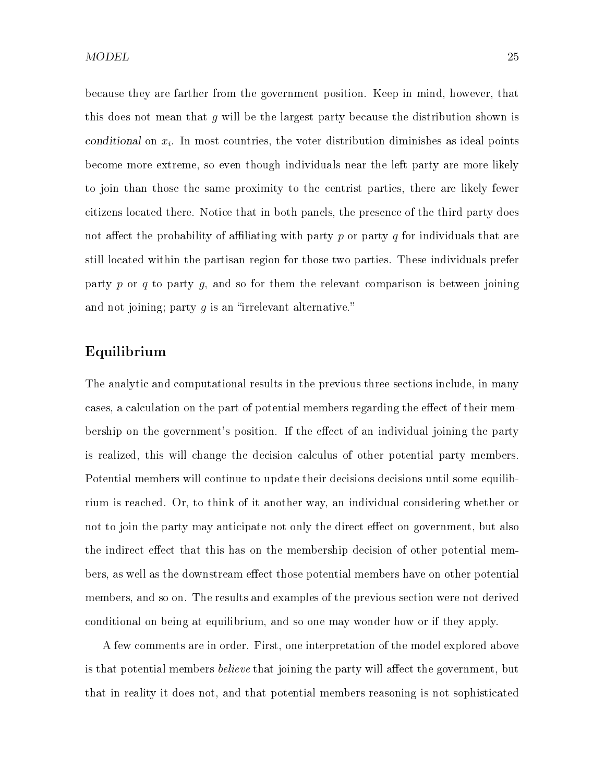because they are farther from the government position. Keep in mind, however, that this does not mean that  $g$  will be the largest party because the distribution shown is conditional on  $x_i$ . In most countries, the voter distribution diminishes as ideal points become more extreme, so even though individuals near the left party are more likely to join than those the same proximity to the centrist parties, there are likely fewer citizens located there. Notice that in both panels, the presence of the third party does not affect the probability of affiliating with party p or party q for individuals that are still located within the partisan region for those two parties. These individuals prefer party p or q to party q, and so for them the relevant comparison is between joining and not joining; party  $g$  is an "irrelevant alternative."

#### Equilibrium

The analytic and computational results in the previous three sections include, in many cases, a calculation on the part of potential members regarding the effect of their membership on the government's position. If the effect of an individual joining the party is realized, this will change the decision calculus of other potential party members. Potential members will continue to update their decisions decisions until some equilibrium is reached. Or, to think of it another way, an individual considering whether or not to join the party may anticipate not only the direct effect on government, but also the indirect effect that this has on the membership decision of other potential members, as well as the downstream effect those potential members have on other potential members, and so on. The results and examples of the previous section were not derived conditional on being at equilibrium, and so one may wonder how or if they apply.

A few comments are in order. First, one interpretation of the model explored above is that potential members *believe* that joining the party will affect the government, but that in reality it does not, and that potential members reasoning is not sophisticated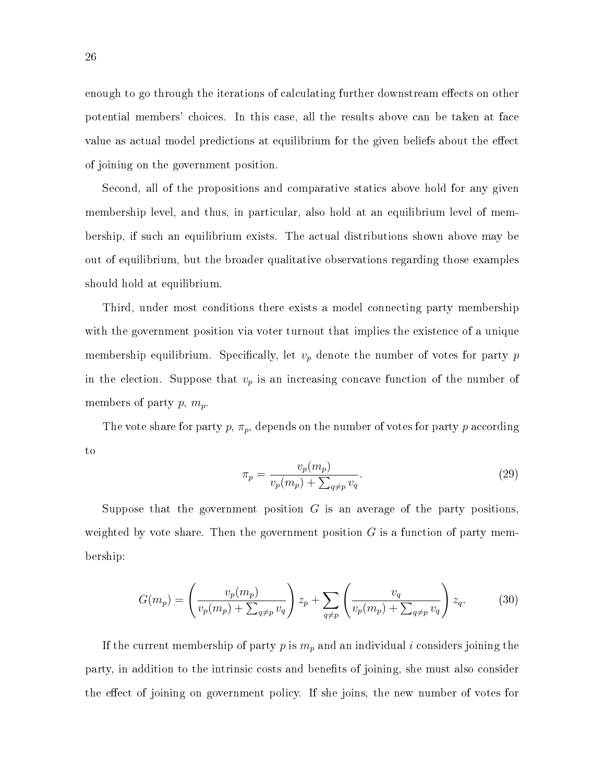enough to go through the iterations of calculating further downstream effects on other potential members' choices. In this case, all the results above can be taken at face value as actual model predictions at equilibrium for the given beliefs about the effect of joining on the government position.

Second, all of the propositions and comparative statics above hold for any given membership level, and thus, in particular, also hold at an equilibrium level of membership, if such an equilibrium exists. The actual distributions shown above may be out of equilibrium, but the broader qualitative observations regarding those examples should hold at equilibrium.

Third, under most conditions there exists a model connecting party membership with the government position via voter turnout that implies the existence of a unique membership equilibrium. Specifically, let  $v_p$  denote the number of votes for party p in the election. Suppose that  $v_p$  is an increasing concave function of the number of members of party p,  $m_p$ .

The vote share for party p,  $\pi_p$ , depends on the number of votes for party p according to

$$
\pi_p = \frac{v_p(m_p)}{v_p(m_p) + \sum_{q \neq p} v_q}.\tag{29}
$$

Suppose that the government position  $G$  is an average of the party positions. weighted by vote share. Then the government position  $G$  is a function of party membership:

$$
G(m_p) = \left(\frac{v_p(m_p)}{v_p(m_p) + \sum_{q \neq p} v_q}\right) z_p + \sum_{q \neq p} \left(\frac{v_q}{v_p(m_p) + \sum_{q \neq p} v_q}\right) z_q.
$$
 (30)

If the current membership of party p is  $m_p$  and an individual i considers joining the party, in addition to the intrinsic costs and benefits of joining, she must also consider the effect of joining on government policy. If she joins, the new number of votes for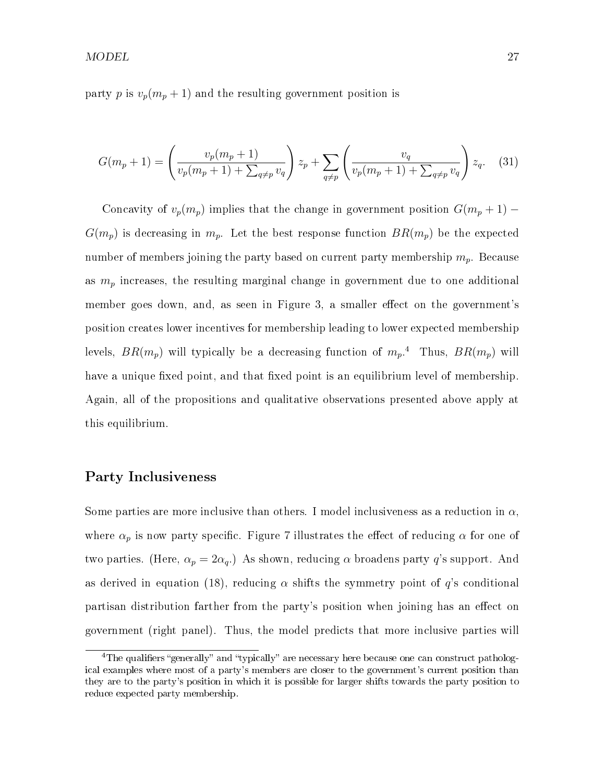party p is  $v_p(m_p + 1)$  and the resulting government position is

$$
G(m_p + 1) = \left(\frac{v_p(m_p + 1)}{v_p(m_p + 1) + \sum_{q \neq p} v_q}\right) z_p + \sum_{q \neq p} \left(\frac{v_q}{v_p(m_p + 1) + \sum_{q \neq p} v_q}\right) z_q. \tag{31}
$$

Concavity of  $v_p(m_p)$  implies that the change in government position  $G(m_p + 1)$  –  $G(m_p)$  is decreasing in  $m_p$ . Let the best response function  $BR(m_p)$  be the expected number of members joining the party based on current party membership  $m_p$ . Because as  $m_p$  increases, the resulting marginal change in government due to one additional member goes down, and, as seen in Figure 3, a smaller effect on the government's position creates lower incentives for membership leading to lower expected membership levels,  $BR(m_p)$  will typically be a decreasing function of  $m_p$ .<sup>4</sup> Thus,  $BR(m_p)$  will have a unique fixed point, and that fixed point is an equilibrium level of membership. Again, all of the propositions and qualitative observations presented above apply at this equilibrium.

#### Party Inclusiveness

Some parties are more inclusive than others. I model inclusiveness as a reduction in  $\alpha$ . where  $\alpha_p$  is now party specific. Figure 7 illustrates the effect of reducing  $\alpha$  for one of two parties. (Here,  $\alpha_p = 2\alpha_q$ .) As shown, reducing  $\alpha$  broadens party q's support. And as derived in equation (18), reducing  $\alpha$  shifts the symmetry point of q's conditional partisan distribution farther from the party's position when joining has an effect on government (right panel). Thus, the model predicts that more inclusive parties will

<sup>&</sup>lt;sup>4</sup>The qualifiers "generally" and "typically" are necessary here because one can construct pathological examples where most of a party's members are closer to the government's current position than they are to the party's position in which it is possible for larger shifts towards the party position to reduce expected party membership.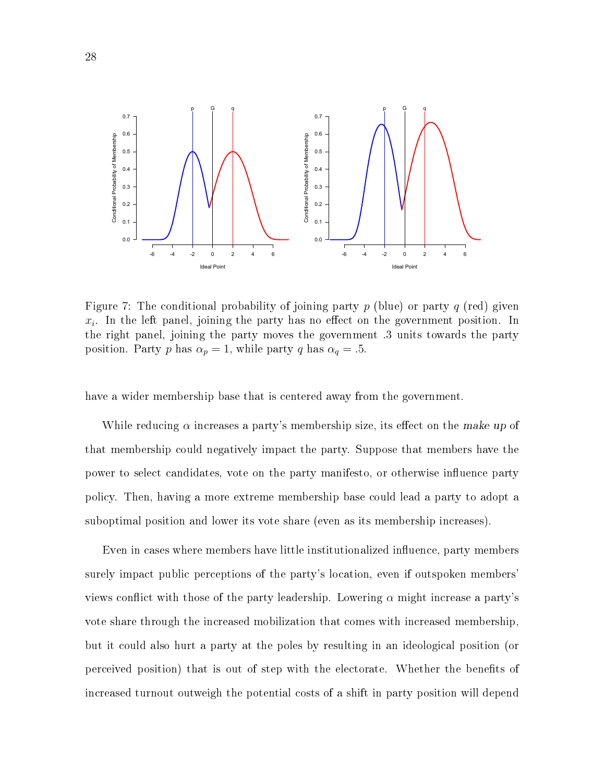

Figure 7: The conditional probability of joining party p (blue) or party q (red) given  $x_i$ . In the left panel, joining the party has no effect on the government position. In the right panel, joining the party moves the government .3 units towards the party position. Party p has  $\alpha_p = 1$ , while party q has  $\alpha_q = .5$ .

have a wider membership base that is centered away from the government.

While reducing  $\alpha$  increases a party's membership size, its effect on the make up of that membership could negatively impact the party. Suppose that members have the power to select candidates, vote on the party manifesto, or otherwise influence party policy. Then, having a more extreme membership base could lead a party to adopt a suboptimal position and lower its vote share (even as its membership increases).

Even in cases where members have little institutionalized influence, party members surely impact public perceptions of the party's location, even if outspoken members' views conflict with those of the party leadership. Lowering  $\alpha$  might increase a party's vote share through the increased mobilization that comes with increased membership, but it could also hurt a party at the poles by resulting in an ideological position (or perceived position) that is out of step with the electorate. Whether the benefits of increased turnout outweigh the potential costs of a shift in party position will depend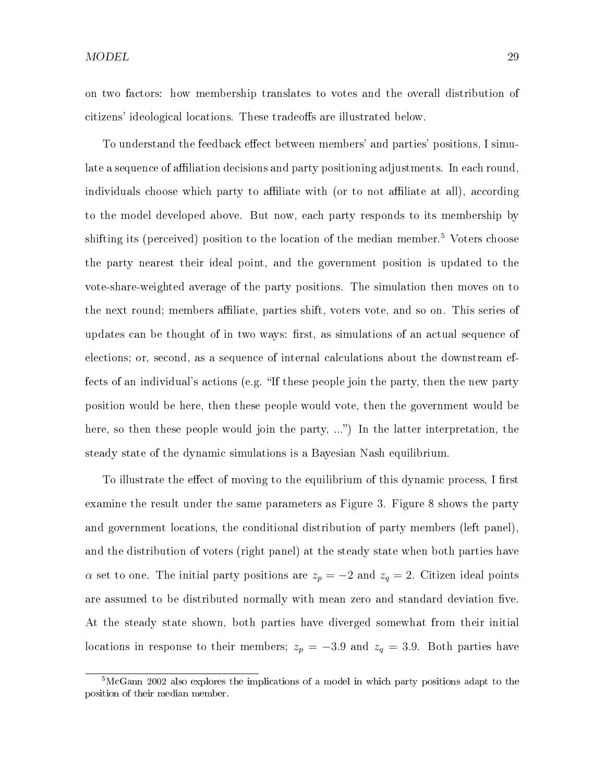on two factors: how membership translates to votes and the overall distribution of citizens' ideological locations. These tradeoffs are illustrated below.

To understand the feedback effect between members' and parties' positions, I simulate a sequence of affiliation decisions and party positioning adjustments. In each round, individuals choose which party to affiliate with (or to not affiliate at all), according to the model developed above. But now, each party responds to its membership by shifting its (perceived) position to the location of the median member.<sup>5</sup> Voters choose the party nearest their ideal point, and the government position is updated to the vote-share-weighted average of the party positions. The simulation then moves on to the next round; members affiliate, parties shift, voters vote, and so on. This series of updates can be thought of in two ways: first, as simulations of an actual sequence of elections; or, second, as a sequence of internal calculations about the downstream effects of an individual's actions (e.g. "If these people join the party, then the new party position would be here, then these people would vote, then the government would be here, so then these people would join the party, ...") In the latter interpretation, the steady state of the dynamic simulations is a Bayesian Nash equilibrium.

To illustrate the effect of moving to the equilibrium of this dynamic process, I first examine the result under the same parameters as Figure 3. Figure 8 shows the party and government locations, the conditional distribution of party members (left panel), and the distribution of voters (right panel) at the steady state when both parties have  $\alpha$  set to one. The initial party positions are  $z_p = -2$  and  $z_q = 2$ . Citizen ideal points are assumed to be distributed normally with mean zero and standard deviation five. At the steady state shown, both parties have diverged somewhat from their initial locations in response to their members;  $z_p = -3.9$  and  $z_q = 3.9$ . Both parties have

<sup>5</sup>McGann 2002 also explores the implications of a model in which party positions adapt to the position of their median member.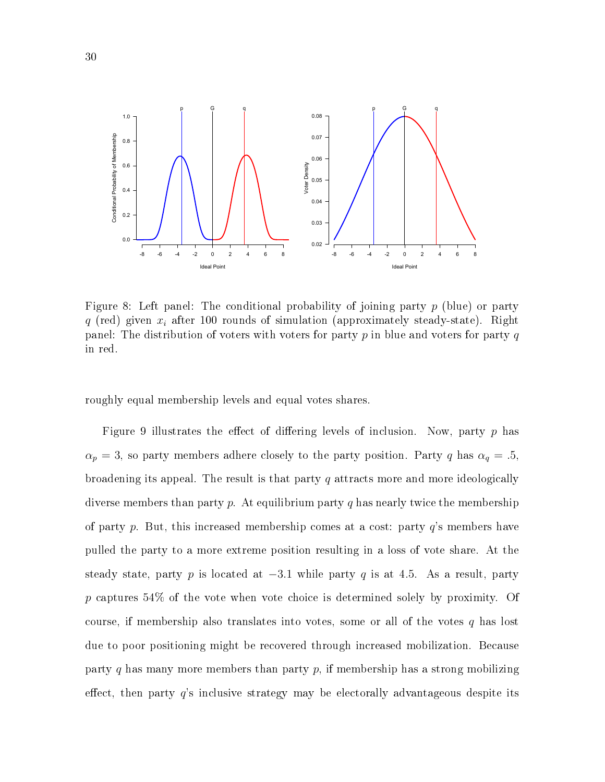

Figure 8: Left panel: The conditional probability of joining party  $p$  (blue) or party q (red) given  $x_i$  after 100 rounds of simulation (approximately steady-state). Right panel: The distribution of voters with voters for party  $p$  in blue and voters for party  $q$ in red.

roughly equal membership levels and equal votes shares.

Figure 9 illustrates the effect of differing levels of inclusion. Now, party  $p$  has  $\alpha_p = 3$ , so party members adhere closely to the party position. Party q has  $\alpha_q = .5$ , broadening its appeal. The result is that party  $q$  attracts more and more ideologically diverse members than party p. At equilibrium party q has nearly twice the membership of party p. But, this increased membership comes at a cost: party  $q$ 's members have pulled the party to a more extreme position resulting in a loss of vote share. At the steady state, party p is located at  $-3.1$  while party q is at 4.5. As a result, party p captures 54% of the vote when vote choice is determined solely by proximity. Of course, if membership also translates into votes, some or all of the votes  $q$  has lost due to poor positioning might be recovered through increased mobilization. Because party q has many more members than party  $p$ , if membership has a strong mobilizing effect, then party  $q$ 's inclusive strategy may be electorally advantageous despite its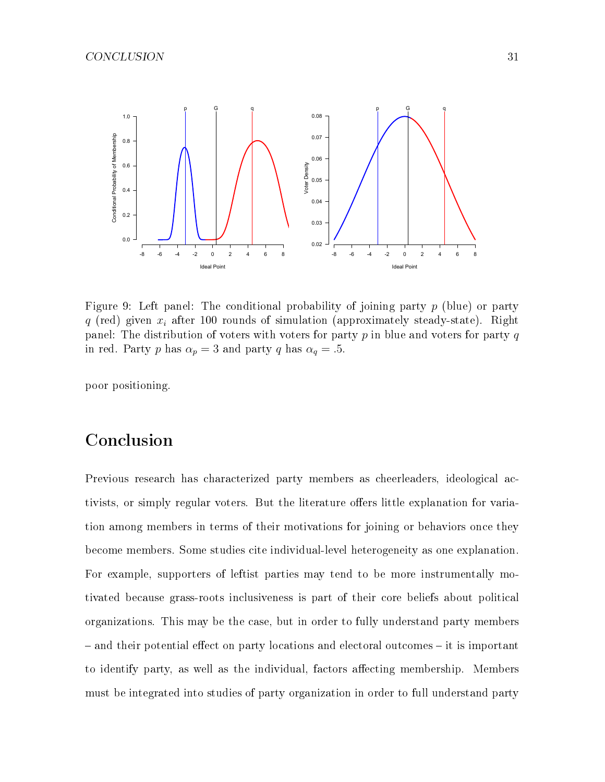

Figure 9: Left panel: The conditional probability of joining party  $p$  (blue) or party q (red) given  $x_i$  after 100 rounds of simulation (approximately steady-state). Right panel: The distribution of voters with voters for party  $p$  in blue and voters for party  $q$ in red. Party p has  $\alpha_p = 3$  and party q has  $\alpha_q = .5$ .

poor positioning.

## Conclusion

Previous research has characterized party members as cheerleaders, ideological activists, or simply regular voters. But the literature offers little explanation for variation among members in terms of their motivations for joining or behaviors once they become members. Some studies cite individual-level heterogeneity as one explanation. For example, supporters of leftist parties may tend to be more instrumentally motivated because grass-roots inclusiveness is part of their core beliefs about political organizations. This may be the case, but in order to fully understand party members  $-$  and their potential effect on party locations and electoral outcomes  $-$  it is important to identify party, as well as the individual, factors affecting membership. Members must be integrated into studies of party organization in order to full understand party